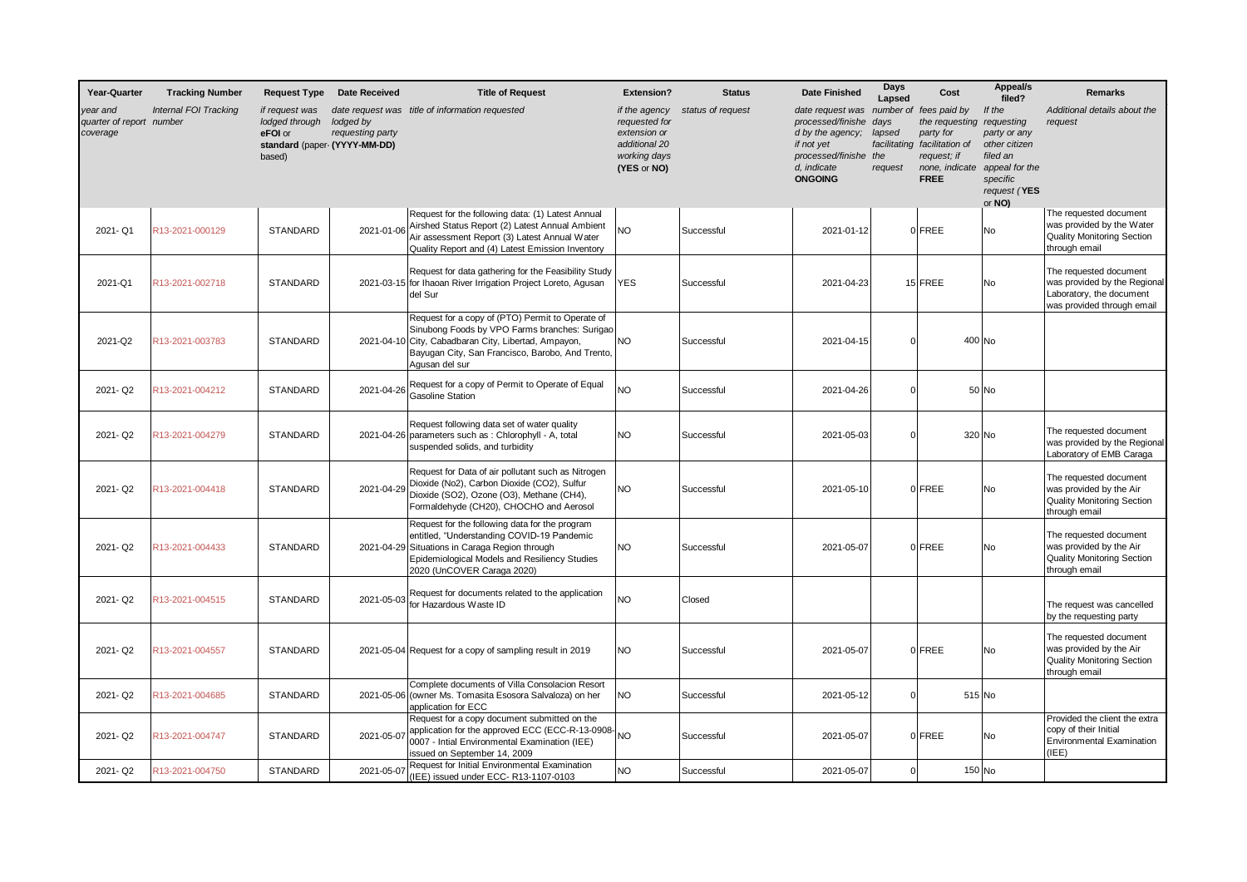| Year-Quarter                                     | <b>Tracking Number</b>       | <b>Request Type</b>                                                                    | <b>Date Received</b>          | <b>Title of Request</b>                                                                                                                                                                                                         | <b>Extension?</b>                                                                              | <b>Status</b>     | <b>Date Finished</b>                                                                                                              | Days<br>Lapsed                            | Cost                                                                                                                     | Appeal/s<br>filed?                                                                                                        | Remarks                                                                                                          |
|--------------------------------------------------|------------------------------|----------------------------------------------------------------------------------------|-------------------------------|---------------------------------------------------------------------------------------------------------------------------------------------------------------------------------------------------------------------------------|------------------------------------------------------------------------------------------------|-------------------|-----------------------------------------------------------------------------------------------------------------------------------|-------------------------------------------|--------------------------------------------------------------------------------------------------------------------------|---------------------------------------------------------------------------------------------------------------------------|------------------------------------------------------------------------------------------------------------------|
| year and<br>quarter of report number<br>coverage | <b>Internal FOI Tracking</b> | if request was<br>lodged through<br>eFOI or<br>standard (paper- (YYYY-MM-DD)<br>based) | lodged by<br>requesting party | date request was title of information requested                                                                                                                                                                                 | if the agency<br>requested for<br>extension or<br>additional 20<br>working days<br>(YES or NO) | status of request | date request was<br>processed/finishe<br>d by the agency;<br>if not yet<br>processed/finishe the<br>d, indicate<br><b>ONGOING</b> | days<br>lapsed<br>facilitating<br>request | number of fees paid by<br>the requesting<br>party for<br>facilitation of<br>request; if<br>none, indicate<br><b>FREE</b> | If the<br>requesting<br>party or any<br>other citizen<br>filed an<br>appeal for the<br>specific<br>request (YES<br>or NO) | Additional details about the<br>request                                                                          |
| 2021-Q1                                          | R13-2021-000129              | <b>STANDARD</b>                                                                        | 2021-01-06                    | Request for the following data: (1) Latest Annual<br>Airshed Status Report (2) Latest Annual Ambient<br>Air assessment Report (3) Latest Annual Water<br>Quality Report and (4) Latest Emission Inventory                       | <b>NO</b>                                                                                      | Successful        | 2021-01-12                                                                                                                        |                                           | 0 FREE                                                                                                                   | No                                                                                                                        | The requested document<br>was provided by the Water<br><b>Quality Monitoring Section</b><br>through email        |
| 2021-Q1                                          | R13-2021-002718              | <b>STANDARD</b>                                                                        |                               | Request for data gathering for the Feasibility Study<br>2021-03-15 for Ihaoan River Irrigation Project Loreto, Agusan<br>del Sur                                                                                                | <b>YES</b>                                                                                     | Successful        | 2021-04-23                                                                                                                        |                                           | 15 FREE                                                                                                                  | <b>No</b>                                                                                                                 | The requested document<br>was provided by the Regional<br>Laboratory, the document<br>was provided through email |
| 2021-Q2                                          | R13-2021-003783              | <b>STANDARD</b>                                                                        |                               | Request for a copy of (PTO) Permit to Operate of<br>Sinubong Foods by VPO Farms branches: Surigao<br>2021-04-10 City, Cabadbaran City, Libertad, Ampayon,<br>Bayugan City, San Francisco, Barobo, And Trento,<br>Agusan del sur | <b>NO</b>                                                                                      | Successful        | 2021-04-15                                                                                                                        |                                           |                                                                                                                          | 400 No                                                                                                                    |                                                                                                                  |
| 2021-Q2                                          | R13-2021-004212              | <b>STANDARD</b>                                                                        | 2021-04-26                    | Request for a copy of Permit to Operate of Equal<br><b>Gasoline Station</b>                                                                                                                                                     | <b>NO</b>                                                                                      | Successful        | 2021-04-26                                                                                                                        | $\Omega$                                  |                                                                                                                          | 50 No                                                                                                                     |                                                                                                                  |
| 2021-Q2                                          | R13-2021-004279              | <b>STANDARD</b>                                                                        |                               | Request following data set of water quality<br>2021-04-26 parameters such as : Chlorophyll - A, total<br>suspended solids, and turbidity                                                                                        | NO.                                                                                            | Successful        | 2021-05-03                                                                                                                        |                                           |                                                                                                                          | 320 No                                                                                                                    | The requested document<br>was provided by the Regional<br>Laboratory of EMB Caraga                               |
| 2021-Q2                                          | R13-2021-004418              | <b>STANDARD</b>                                                                        | 2021-04-29                    | Request for Data of air pollutant such as Nitrogen<br>Dioxide (No2), Carbon Dioxide (CO2), Sulfur<br>Dioxide (SO2), Ozone (O3), Methane (CH4),<br>Formaldehyde (CH20), CHOCHO and Aerosol                                       | NO.                                                                                            | Successful        | 2021-05-10                                                                                                                        |                                           | 0 FREE                                                                                                                   | No                                                                                                                        | The requested document<br>was provided by the Air<br><b>Quality Monitoring Section</b><br>through email          |
| 2021-Q2                                          | R13-2021-004433              | STANDARD                                                                               |                               | Request for the following data for the program<br>entitled, "Understanding COVID-19 Pandemic<br>2021-04-29 Situations in Caraga Region through<br>Epidemiological Models and Resiliency Studies<br>2020 (UnCOVER Caraga 2020)   | <b>NO</b>                                                                                      | Successful        | 2021-05-07                                                                                                                        |                                           | 0 FREE                                                                                                                   | No                                                                                                                        | The requested document<br>was provided by the Air<br><b>Quality Monitoring Section</b><br>through email          |
| 2021-Q2                                          | R13-2021-004515              | <b>STANDARD</b>                                                                        | 2021-05-03                    | Request for documents related to the application<br>for Hazardous Waste ID                                                                                                                                                      | <b>NO</b>                                                                                      | Closed            |                                                                                                                                   |                                           |                                                                                                                          |                                                                                                                           | The request was cancelled<br>by the requesting party                                                             |
| 2021-Q2                                          | R13-2021-004557              | <b>STANDARD</b>                                                                        |                               | 2021-05-04 Request for a copy of sampling result in 2019                                                                                                                                                                        | <b>NO</b>                                                                                      | Successful        | 2021-05-07                                                                                                                        |                                           | 0 FREE                                                                                                                   | No                                                                                                                        | The requested document<br>was provided by the Air<br><b>Quality Monitoring Section</b><br>through email          |
| 2021-Q2                                          | R13-2021-004685              | <b>STANDARD</b>                                                                        |                               | Complete documents of Villa Consolacion Resort<br>2021-05-06 (owner Ms. Tomasita Esosora Salvaloza) on her<br>application for ECC                                                                                               | <b>NO</b>                                                                                      | Successful        | 2021-05-12                                                                                                                        |                                           |                                                                                                                          | $515$ No                                                                                                                  |                                                                                                                  |
| 2021-Q2                                          | R13-2021-004747              | <b>STANDARD</b>                                                                        | 2021-05-07                    | Request for a copy document submitted on the<br>application for the approved ECC (ECC-R-13-0908-<br>0007 - Intial Environmental Examination (IEE)<br>issued on September 14, 2009                                               | NO.                                                                                            | Successful        | 2021-05-07                                                                                                                        |                                           | 0 FREE                                                                                                                   | No                                                                                                                        | Provided the client the extra<br>copy of their Initial<br><b>Environmental Examination</b><br>(IEE)              |
| 2021-Q2                                          | R13-2021-004750              | STANDARD                                                                               | 2021-05-07                    | Request for Initial Environmental Examination<br>(IEE) issued under ECC-R13-1107-0103                                                                                                                                           | <b>NO</b>                                                                                      | Successful        | 2021-05-07                                                                                                                        |                                           |                                                                                                                          | 150 No                                                                                                                    |                                                                                                                  |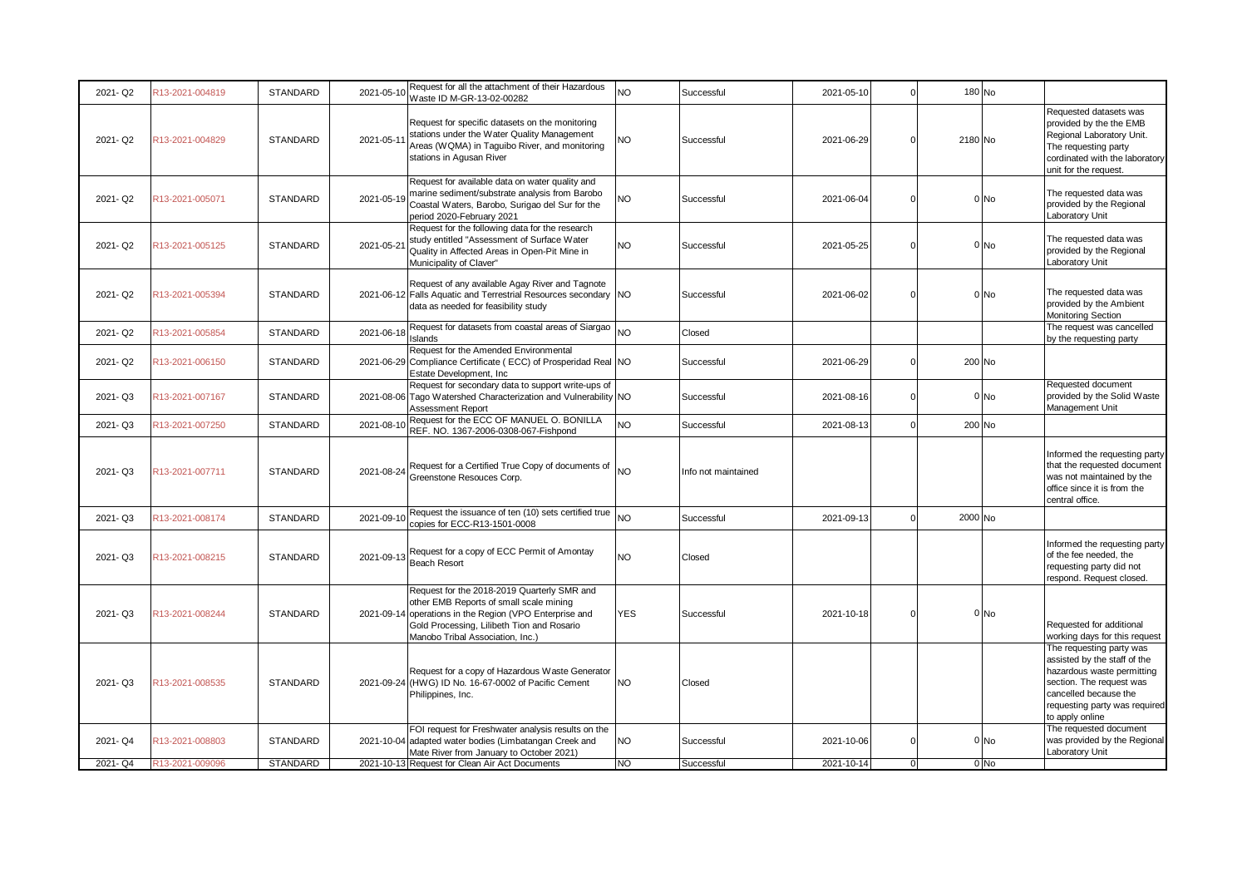| 2021-Q2 | R13-2021-004819 | <b>STANDARD</b> | 2021-05-10 | Request for all the attachment of their Hazardous<br>Waste ID M-GR-13-02-00282                                                                                                                                           | NO         | Successful          | 2021-05-10 |                | 180 No  |        |                                                                                                                                                                                                 |
|---------|-----------------|-----------------|------------|--------------------------------------------------------------------------------------------------------------------------------------------------------------------------------------------------------------------------|------------|---------------------|------------|----------------|---------|--------|-------------------------------------------------------------------------------------------------------------------------------------------------------------------------------------------------|
| 2021-Q2 | R13-2021-004829 | <b>STANDARD</b> | 2021-05-1  | Request for specific datasets on the monitoring<br>stations under the Water Quality Management<br>Areas (WQMA) in Taguibo River, and monitoring<br>stations in Agusan River                                              | <b>NO</b>  | Successful          | 2021-06-29 |                | 2180 No |        | Requested datasets was<br>provided by the the EMB<br>Regional Laboratory Unit.<br>The requesting party<br>cordinated with the laboratory<br>unit for the request.                               |
| 2021-Q2 | R13-2021-005071 | STANDARD        | 2021-05-19 | Request for available data on water quality and<br>marine sediment/substrate analysis from Barobo<br>Coastal Waters, Barobo, Surigao del Sur for the<br>period 2020-February 2021                                        | NO         | Successful          | 2021-06-04 |                |         | 0 No   | The requested data was<br>provided by the Regional<br>Laboratory Unit                                                                                                                           |
| 2021-Q2 | R13-2021-005125 | STANDARD        | 2021-05-21 | Request for the following data for the research<br>study entitled "Assessment of Surface Water<br>Quality in Affected Areas in Open-Pit Mine in<br>Municipality of Claver"                                               | NO         | Successful          | 2021-05-25 |                |         | 0 No   | The requested data was<br>provided by the Regional<br>Laboratory Unit                                                                                                                           |
| 2021-Q2 | R13-2021-005394 | <b>STANDARD</b> |            | Request of any available Agay River and Tagnote<br>2021-06-12 Falls Aquatic and Terrestrial Resources secondary NO<br>data as needed for feasibility study                                                               |            | Successful          | 2021-06-02 |                |         | 0 No   | The requested data was<br>provided by the Ambient<br><b>Monitoring Section</b>                                                                                                                  |
| 2021-Q2 | R13-2021-005854 | STANDARD        | 2021-06-18 | Request for datasets from coastal areas of Siargao<br>Islands                                                                                                                                                            | <b>NO</b>  | Closed              |            |                |         |        | The request was cancelled<br>by the requesting party                                                                                                                                            |
| 2021-Q2 | R13-2021-006150 | STANDARD        |            | Request for the Amended Environmental<br>2021-06-29 Compliance Certificate (ECC) of Prosperidad Real NO<br>Estate Development, Inc.                                                                                      |            | Successful          | 2021-06-29 | $\overline{0}$ | 200 No  |        |                                                                                                                                                                                                 |
| 2021-Q3 | R13-2021-007167 | STANDARD        |            | Request for secondary data to support write-ups of<br>2021-08-06 Tago Watershed Characterization and Vulnerability NO<br>Assessment Report                                                                               |            | Successful          | 2021-08-16 | $\Omega$       |         | 0 No   | Requested document<br>provided by the Solid Waste<br>Management Unit                                                                                                                            |
| 2021-Q3 | R13-2021-007250 | <b>STANDARD</b> | 2021-08-1  | Request for the ECC OF MANUEL O. BONILLA<br>REF. NO. 1367-2006-0308-067-Fishpond                                                                                                                                         | <b>NO</b>  | Successful          | 2021-08-13 |                | 200 No  |        |                                                                                                                                                                                                 |
| 2021-Q3 | R13-2021-007711 | <b>STANDARD</b> | 2021-08-24 | Request for a Certified True Copy of documents of $\vert_{\rm NO}$<br>Greenstone Resouces Corp.                                                                                                                          |            | Info not maintained |            |                |         |        | Informed the requesting party<br>that the requested document<br>was not maintained by the<br>office since it is from the<br>central office.                                                     |
| 2021-Q3 | R13-2021-008174 | <b>STANDARD</b> | 2021-09-10 | Request the issuance of ten (10) sets certified true<br>copies for ECC-R13-1501-0008                                                                                                                                     | NO.        | Successful          | 2021-09-13 |                | 2000 No |        |                                                                                                                                                                                                 |
| 2021-Q3 | R13-2021-008215 | STANDARD        | 2021-09-13 | Request for a copy of ECC Permit of Amontay<br><b>Beach Resort</b>                                                                                                                                                       | NO.        | Closed              |            |                |         |        | Informed the requesting party<br>of the fee needed, the<br>requesting party did not<br>respond. Request closed.                                                                                 |
| 2021-Q3 | R13-2021-008244 | <b>STANDARD</b> | 2021-09-14 | Request for the 2018-2019 Quarterly SMR and<br>other EMB Reports of small scale mining<br>operations in the Region (VPO Enterprise and<br>Gold Processing, Lilibeth Tion and Rosario<br>Manobo Tribal Association, Inc.) | <b>YES</b> | Successful          | 2021-10-18 |                |         | $0$ No | Requested for additional<br>working days for this request                                                                                                                                       |
| 2021-Q3 | R13-2021-008535 | <b>STANDARD</b> |            | Request for a copy of Hazardous Waste Generator<br>2021-09-24 (HWG) ID No. 16-67-0002 of Pacific Cement<br>Philippines, Inc.                                                                                             | NO.        | Closed              |            |                |         |        | The requesting party was<br>assisted by the staff of the<br>hazardous waste permitting<br>section. The request was<br>cancelled because the<br>requesting party was required<br>to apply online |
| 2021-Q4 | R13-2021-008803 | STANDARD        |            | FOI request for Freshwater analysis results on the<br>2021-10-04 adapted water bodies (Limbatangan Creek and<br>Mate River from January to October 2021)                                                                 | NO.        | Successful          | 2021-10-06 | $\Omega$       |         | 0 No   | The requested document<br>was provided by the Regional<br>Laboratory Unit                                                                                                                       |
| 2021-Q4 | R13-2021-009096 | STANDARD        |            | 2021-10-13 Request for Clean Air Act Documents                                                                                                                                                                           | NO         | Successful          | 2021-10-14 | $\Omega$       |         | 0 No   |                                                                                                                                                                                                 |